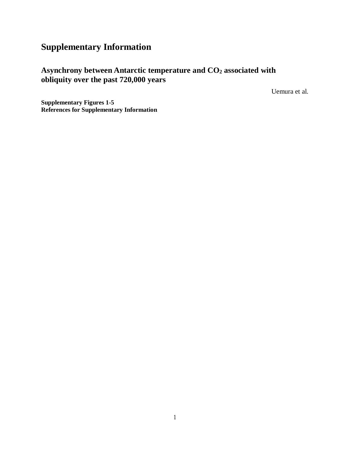## **Supplementary Information**

## **Asynchrony between Antarctic temperature and CO2 associated with obliquity over the past 720,000 years**

Uemura et al.

**Supplementary Figures 1-5 References for Supplementary Information**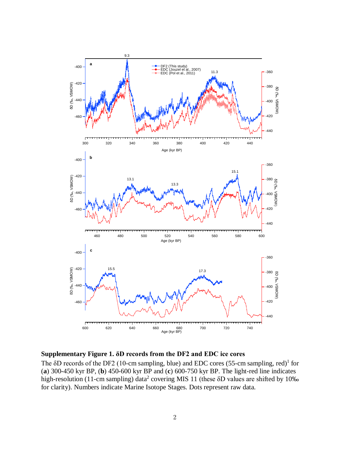

**Supplementary Figure 1. δD records from the DF2 and EDC ice cores**

The  $\delta$ D records of the DF2 (10-cm sampling, blue) and EDC cores (55-cm sampling, red)<sup>1</sup> for (**a**) 300-450 kyr BP, (**b**) 450-600 kyr BP and (**c**) 600-750 kyr BP. The light-red line indicates high-resolution (11-cm sampling) data<sup>2</sup> covering MIS 11 (these δD values are shifted by 10‰ for clarity). Numbers indicate Marine Isotope Stages. Dots represent raw data.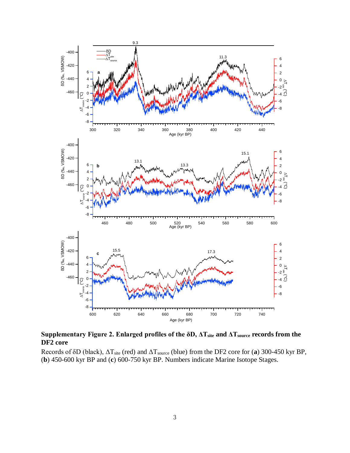

**Supplementary Figure 2. Enlarged profiles of the δD, ΔTsite and ΔTsource records from the DF2 core**

Records of δD (black), ΔTsite (red) and ΔTsource (blue) from the DF2 core for (**a**) 300-450 kyr BP, (**b**) 450-600 kyr BP and (**c**) 600-750 kyr BP. Numbers indicate Marine Isotope Stages.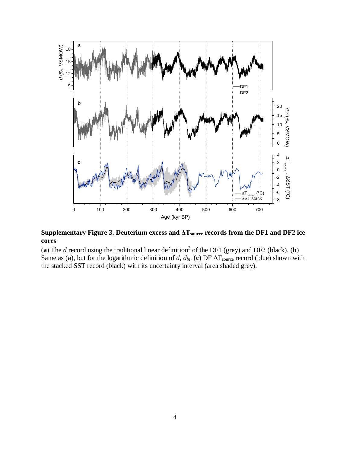

## **Supplementary Figure 3. Deuterium excess and ΔTsource records from the DF1 and DF2 ice cores**

(**a**) The *d* record using the traditional linear definition3 of the DF1 (grey) and DF2 (black). (**b**) Same as (a), but for the logarithmic definition of *d*,  $d_{ln}$ . (c) DF  $\Delta T_{source}$  record (blue) shown with the stacked SST record (black) with its uncertainty interval (area shaded grey).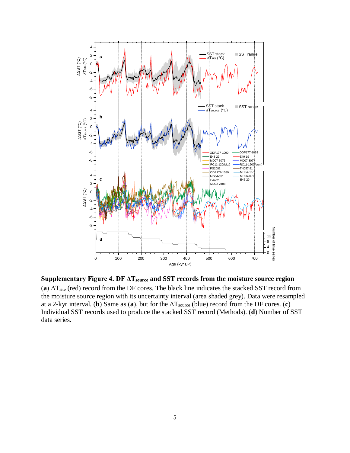

**Supplementary Figure 4. DF ΔTsource and SST records from the moisture source region** (a)  $\Delta T_{site}$  (red) record from the DF cores. The black line indicates the stacked SST record from the moisture source region with its uncertainty interval (area shaded grey). Data were resampled at a 2-kyr interval. (**b**) Same as (**a**), but for the  $\Delta T_{source}$  (blue) record from the DF cores. (**c**) Individual SST records used to produce the stacked SST record (Methods). (**d**) Number of SST data series.